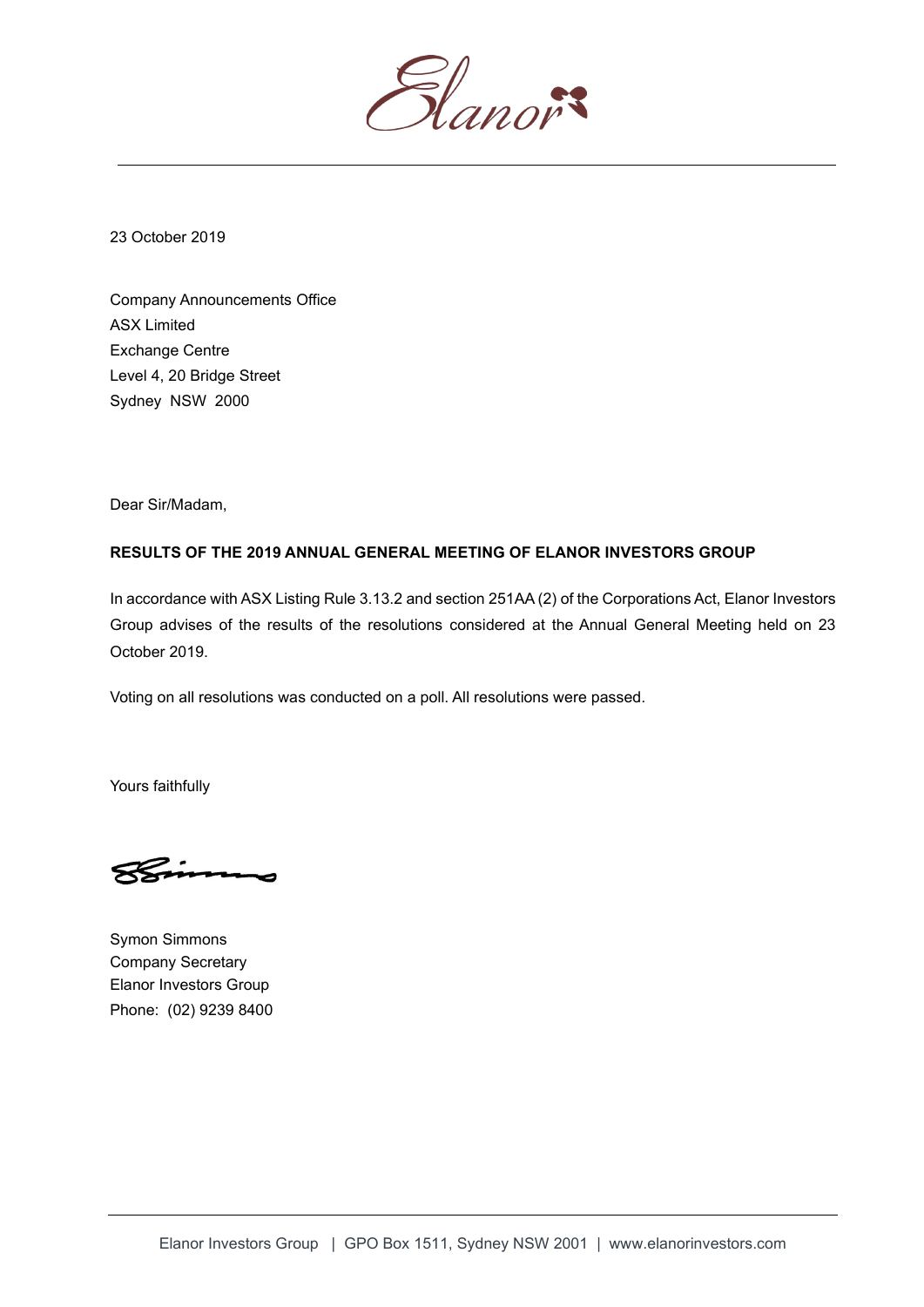

23 October 2019

Company Announcements Office ASX Limited Exchange Centre Level 4, 20 Bridge Street Sydney NSW 2000

Dear Sir/Madam,

## **RESULTS OF THE 2019 ANNUAL GENERAL MEETING OF ELANOR INVESTORS GROUP**

In accordance with ASX Listing Rule 3.13.2 and section 251AA (2) of the Corporations Act, Elanor Investors Group advises of the results of the resolutions considered at the Annual General Meeting held on 23 October 2019.

Voting on all resolutions was conducted on a poll. All resolutions were passed.

Yours faithfully

Symon Simmons Company Secretary Elanor Investors Group Phone: (02) 9239 8400